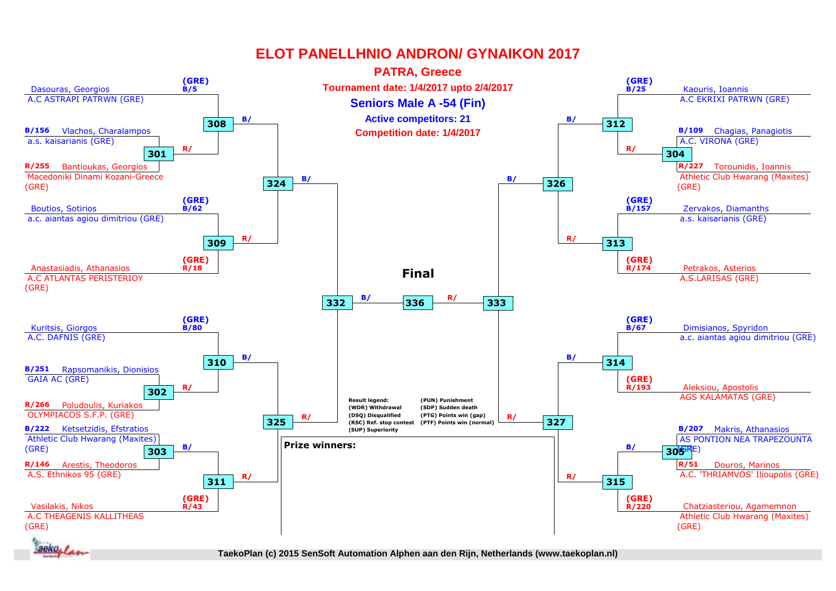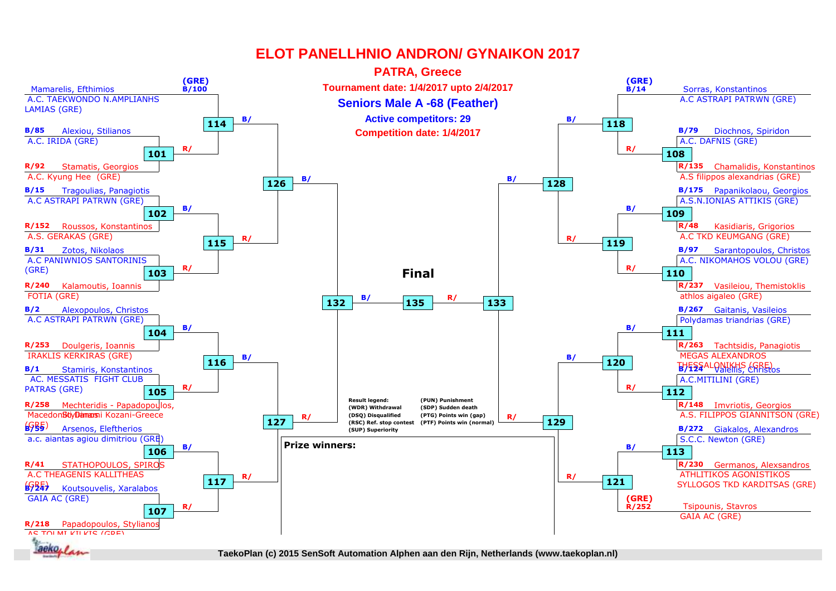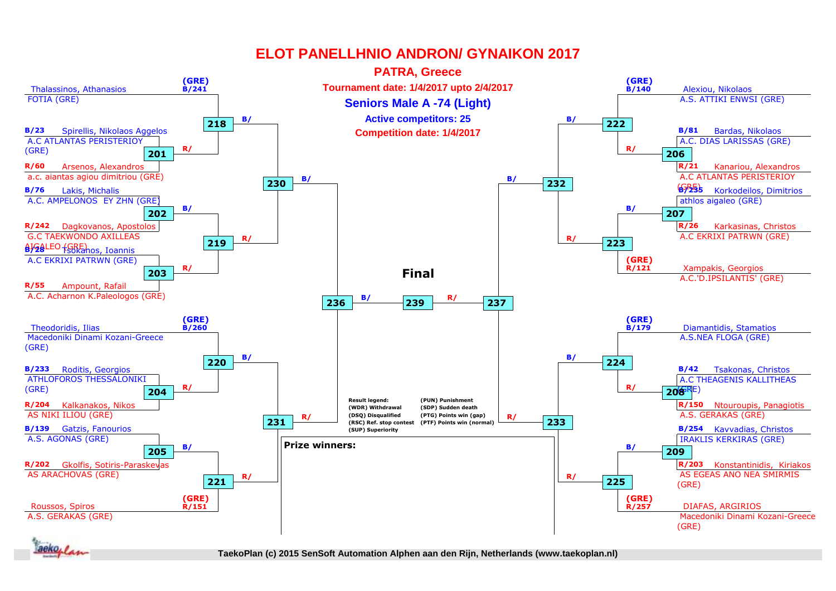

**1.** *<i><i>n* 

**1st rnd 2nd rnd 2nd rnd QF QF SF SF Final TaekoPlan (c) 2015 SenSoft Automation Alphen aan den Rijn, Netherlands (www.taekoplan.nl)**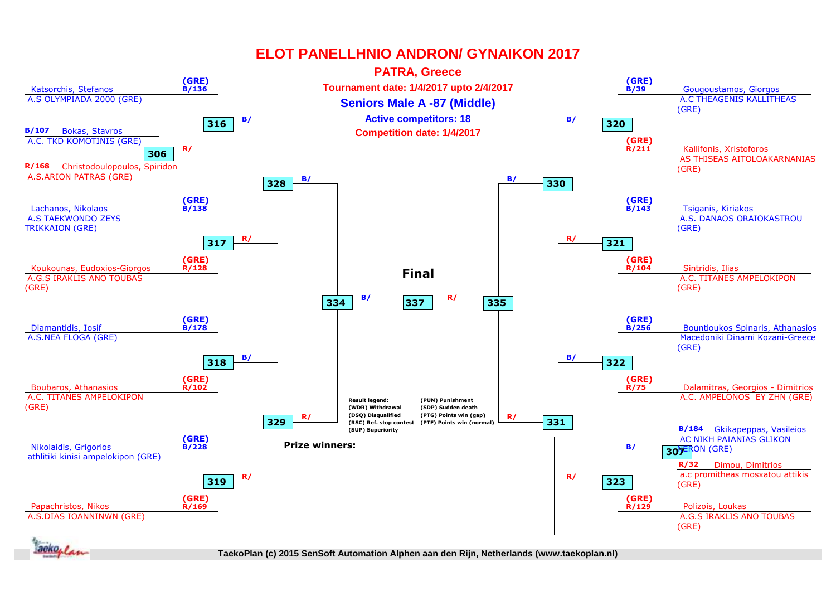

**1.** *<i><i>n* 

**1st rnd 2nd rnd 2nd rnd QF QF SF SF Final TaekoPlan (c) 2015 SenSoft Automation Alphen aan den Rijn, Netherlands (www.taekoplan.nl)**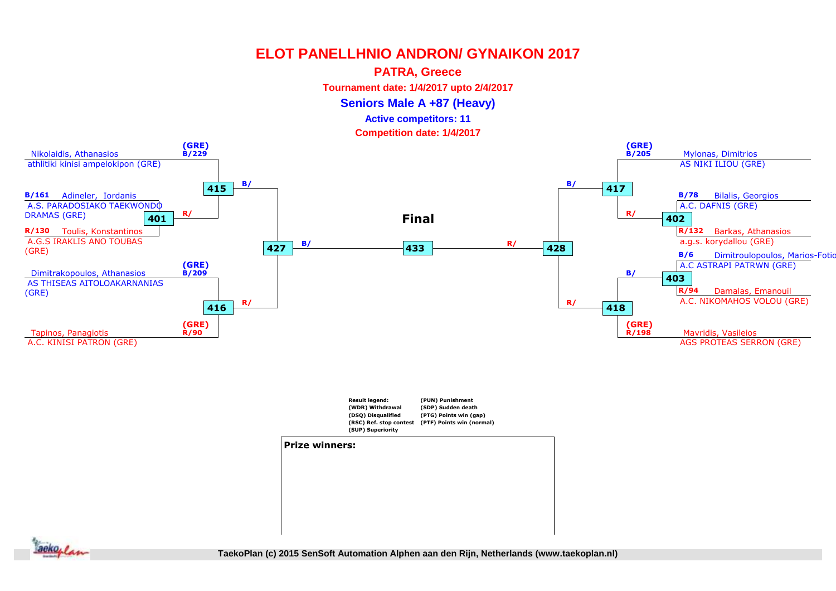### **PATRA, Greece**

**Tournament date: 1/4/2017 upto 2/4/2017**

**Seniors Male A +87 (Heavy)**

**Active competitors: 11**

**Competition date: 1/4/2017**





#### **Prize winners:**

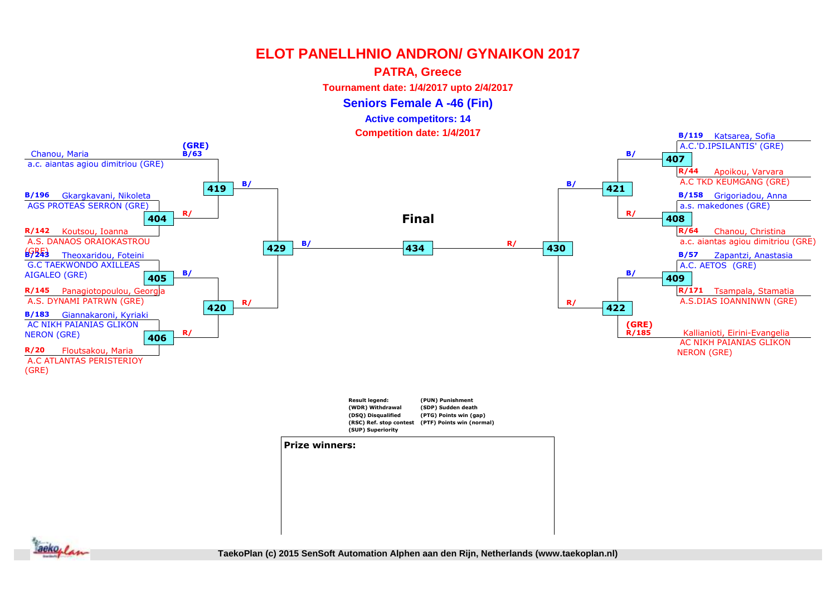### **PATRA, Greece**

**Tournament date: 1/4/2017 upto 2/4/2017**

**Seniors Female A -46 (Fin)**

#### **Active competitors: 14**

**Competition date: 1/4/2017**



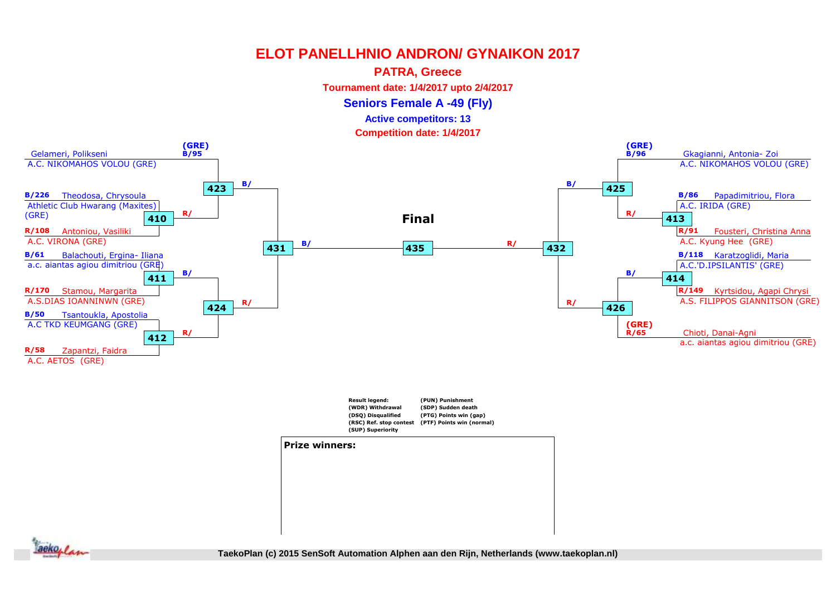### **PATRA, Greece**

**Tournament date: 1/4/2017 upto 2/4/2017**

**Seniors Female A -49 (Fly)**

### **Active competitors: 13**

**Competition date: 1/4/2017**



**(SUP) Superiority**

#### **Prize winners:**

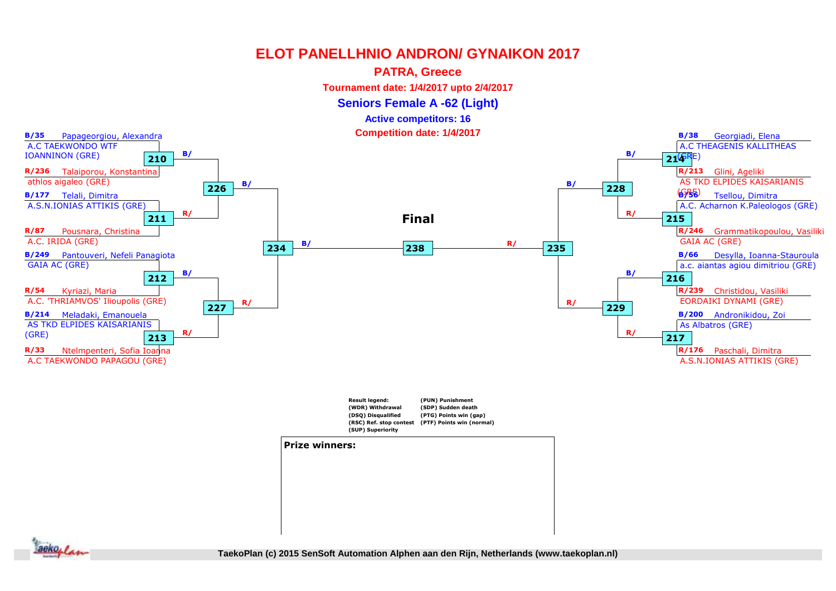### **PATRA, Greece**

**Tournament date: 1/4/2017 upto 2/4/2017**

**Seniors Female A -62 (Light)**

**Active competitors: 16**

**Competition date: 1/4/2017**